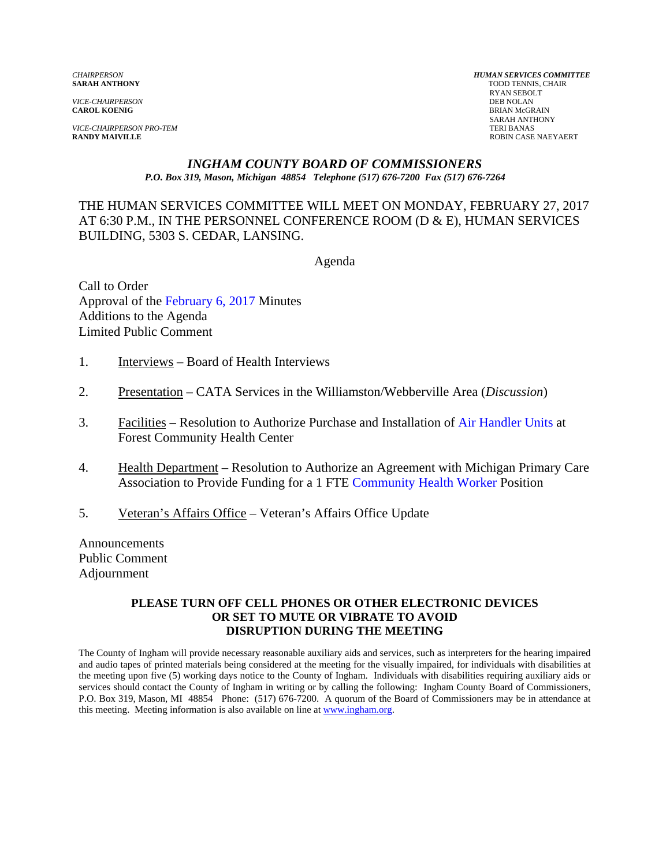*VICE-CHAIRPERSON*<br>**CAROL KOENIG** 

**VICE-CHAIRPERSON PRO-TEM**<br>**RANDY MAIVILLE** 

*CHAIRPERSON HUMAN SERVICES COMMITTEE* TODD TENNIS, CHAIR RYAN SEBOLT **BRIAN McGRAIN** SARAH ANTHONY<br>TERI BANAS **ROBIN CASE NAEYAERT** 

#### *INGHAM COUNTY BOARD OF COMMISSIONERS P.O. Box 319, Mason, Michigan 48854 Telephone (517) 676-7200 Fax (517) 676-7264*

#### THE HUMAN SERVICES COMMITTEE WILL MEET ON MONDAY, FEBRUARY 27, 2017 AT 6:30 P.M., IN THE PERSONNEL CONFERENCE ROOM (D & E), HUMAN SERVICES BUILDING, 5303 S. CEDAR, LANSING.

Agenda

Call to Order Approval o[f the February 6, 2017 Minutes](#page-1-0)  Additions to the Agenda Limited Public Comment

- 1. Interviews Board of Health Interviews
- 2. Presentation CATA Services in the Williamston/Webberville Area (*Discussion*)
- 3. Facilities Resolution to Authorize Purchase and Installation of [Air Handler Units at](#page-5-0) Forest Community Health Center
- 4. Health Department Resolution to Authorize an Agreement with Michigan Primary Care Association to Provide Funding for a 1 FT[E Community Health Worker](#page-7-0) Position
- 5. Veteran's Affairs Office Veteran's Affairs Office Update

Announcements Public Comment Adjournment

#### **PLEASE TURN OFF CELL PHONES OR OTHER ELECTRONIC DEVICES OR SET TO MUTE OR VIBRATE TO AVOID DISRUPTION DURING THE MEETING**

The County of Ingham will provide necessary reasonable auxiliary aids and services, such as interpreters for the hearing impaired and audio tapes of printed materials being considered at the meeting for the visually impaired, for individuals with disabilities at the meeting upon five (5) working days notice to the County of Ingham. Individuals with disabilities requiring auxiliary aids or services should contact the County of Ingham in writing or by calling the following: Ingham County Board of Commissioners, P.O. Box 319, Mason, MI 48854 Phone: (517) 676-7200. A quorum of the Board of Commissioners may be in attendance at this meeting. Meeting information is also available on line at www.ingham.org.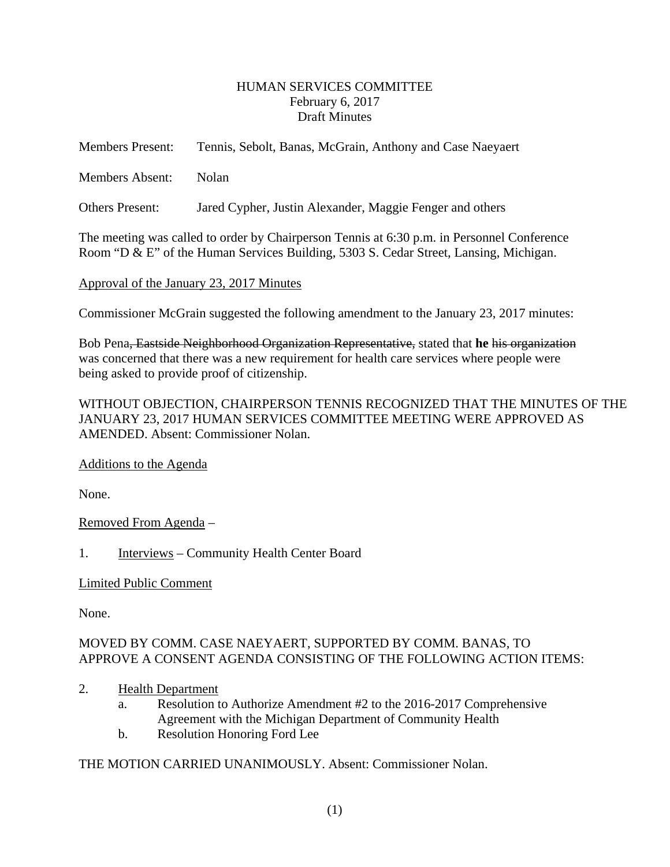#### HUMAN SERVICES COMMITTEE February 6, 2017 Draft Minutes

<span id="page-1-0"></span>

| <b>Members Present:</b>                                                                    | Tennis, Sebolt, Banas, McGrain, Anthony and Case Naeyaert |  |
|--------------------------------------------------------------------------------------------|-----------------------------------------------------------|--|
| Members Absent:                                                                            | <b>Nolan</b>                                              |  |
| <b>Others Present:</b>                                                                     | Jared Cypher, Justin Alexander, Maggie Fenger and others  |  |
| The meeting was called to order by Chairperson Tennis at 6:30 p.m. in Personnel Conference |                                                           |  |

Room "D & E" of the Human Services Building, 5303 S. Cedar Street, Lansing, Michigan.

Approval of the January 23, 2017 Minutes

Commissioner McGrain suggested the following amendment to the January 23, 2017 minutes:

Bob Pena, Eastside Neighborhood Organization Representative, stated that **he** his organization was concerned that there was a new requirement for health care services where people were being asked to provide proof of citizenship.

WITHOUT OBJECTION, CHAIRPERSON TENNIS RECOGNIZED THAT THE MINUTES OF THE JANUARY 23, 2017 HUMAN SERVICES COMMITTEE MEETING WERE APPROVED AS AMENDED. Absent: Commissioner Nolan.

Additions to the Agenda

None.

Removed From Agenda –

1. Interviews – Community Health Center Board

# Limited Public Comment

None.

# MOVED BY COMM. CASE NAEYAERT, SUPPORTED BY COMM. BANAS, TO APPROVE A CONSENT AGENDA CONSISTING OF THE FOLLOWING ACTION ITEMS:

- 2. Health Department
	- a. Resolution to Authorize Amendment #2 to the 2016-2017 Comprehensive Agreement with the Michigan Department of Community Health
	- b. Resolution Honoring Ford Lee

THE MOTION CARRIED UNANIMOUSLY. Absent: Commissioner Nolan.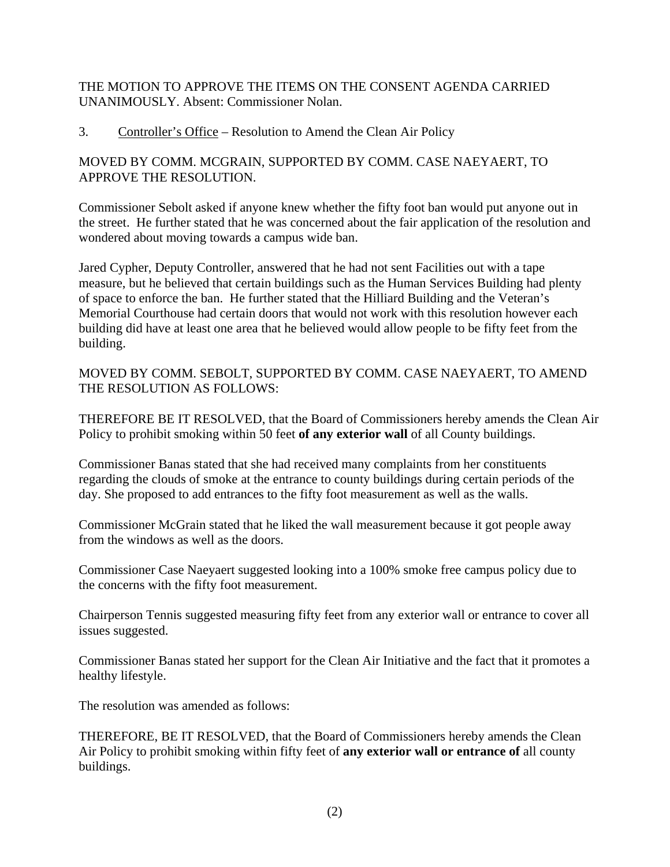THE MOTION TO APPROVE THE ITEMS ON THE CONSENT AGENDA CARRIED UNANIMOUSLY. Absent: Commissioner Nolan.

#### 3. Controller's Office – Resolution to Amend the Clean Air Policy

# MOVED BY COMM. MCGRAIN, SUPPORTED BY COMM. CASE NAEYAERT, TO APPROVE THE RESOLUTION.

Commissioner Sebolt asked if anyone knew whether the fifty foot ban would put anyone out in the street. He further stated that he was concerned about the fair application of the resolution and wondered about moving towards a campus wide ban.

Jared Cypher, Deputy Controller, answered that he had not sent Facilities out with a tape measure, but he believed that certain buildings such as the Human Services Building had plenty of space to enforce the ban. He further stated that the Hilliard Building and the Veteran's Memorial Courthouse had certain doors that would not work with this resolution however each building did have at least one area that he believed would allow people to be fifty feet from the building.

MOVED BY COMM. SEBOLT, SUPPORTED BY COMM. CASE NAEYAERT, TO AMEND THE RESOLUTION AS FOLLOWS:

THEREFORE BE IT RESOLVED, that the Board of Commissioners hereby amends the Clean Air Policy to prohibit smoking within 50 feet **of any exterior wall** of all County buildings.

Commissioner Banas stated that she had received many complaints from her constituents regarding the clouds of smoke at the entrance to county buildings during certain periods of the day. She proposed to add entrances to the fifty foot measurement as well as the walls.

Commissioner McGrain stated that he liked the wall measurement because it got people away from the windows as well as the doors.

Commissioner Case Naeyaert suggested looking into a 100% smoke free campus policy due to the concerns with the fifty foot measurement.

Chairperson Tennis suggested measuring fifty feet from any exterior wall or entrance to cover all issues suggested.

Commissioner Banas stated her support for the Clean Air Initiative and the fact that it promotes a healthy lifestyle.

The resolution was amended as follows:

THEREFORE, BE IT RESOLVED, that the Board of Commissioners hereby amends the Clean Air Policy to prohibit smoking within fifty feet of **any exterior wall or entrance of** all county buildings.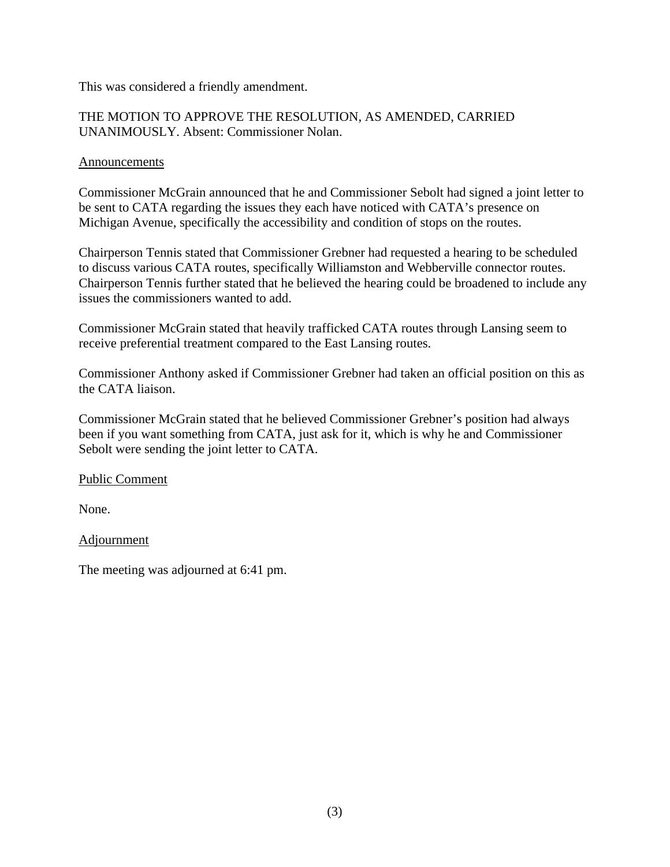This was considered a friendly amendment.

# THE MOTION TO APPROVE THE RESOLUTION, AS AMENDED, CARRIED UNANIMOUSLY. Absent: Commissioner Nolan.

#### **Announcements**

Commissioner McGrain announced that he and Commissioner Sebolt had signed a joint letter to be sent to CATA regarding the issues they each have noticed with CATA's presence on Michigan Avenue, specifically the accessibility and condition of stops on the routes.

Chairperson Tennis stated that Commissioner Grebner had requested a hearing to be scheduled to discuss various CATA routes, specifically Williamston and Webberville connector routes. Chairperson Tennis further stated that he believed the hearing could be broadened to include any issues the commissioners wanted to add.

Commissioner McGrain stated that heavily trafficked CATA routes through Lansing seem to receive preferential treatment compared to the East Lansing routes.

Commissioner Anthony asked if Commissioner Grebner had taken an official position on this as the CATA liaison.

Commissioner McGrain stated that he believed Commissioner Grebner's position had always been if you want something from CATA, just ask for it, which is why he and Commissioner Sebolt were sending the joint letter to CATA.

Public Comment

None.

# Adjournment

The meeting was adjourned at 6:41 pm.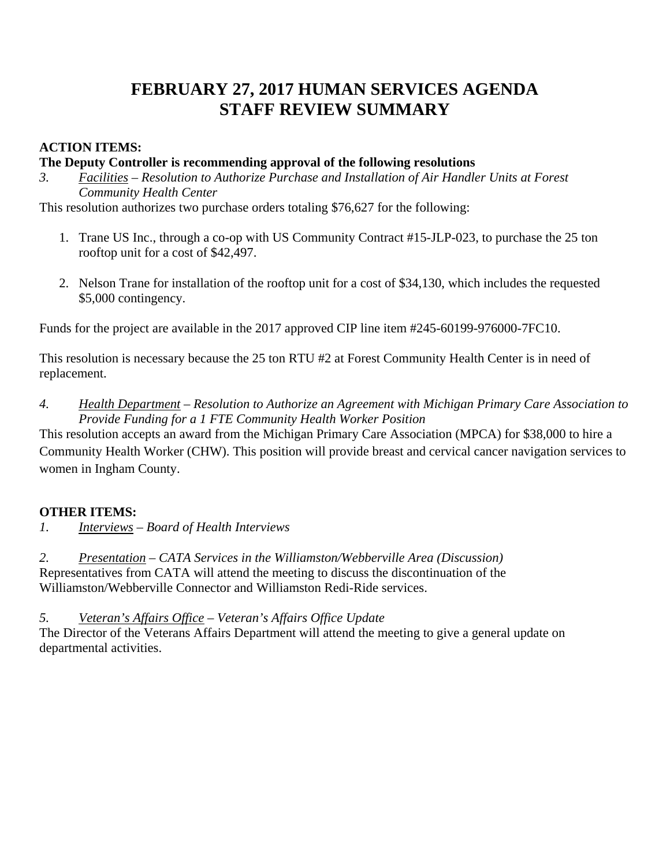# **FEBRUARY 27, 2017 HUMAN SERVICES AGENDA STAFF REVIEW SUMMARY**

# **ACTION ITEMS:**

#### **The Deputy Controller is recommending approval of the following resolutions**

*3. Facilities – Resolution to Authorize Purchase and Installation of Air Handler Units at Forest Community Health Center* 

This resolution authorizes two purchase orders totaling \$76,627 for the following:

- 1. Trane US Inc., through a co-op with US Community Contract #15-JLP-023, to purchase the 25 ton rooftop unit for a cost of \$42,497.
- 2. Nelson Trane for installation of the rooftop unit for a cost of \$34,130, which includes the requested \$5,000 contingency.

Funds for the project are available in the 2017 approved CIP line item #245-60199-976000-7FC10.

This resolution is necessary because the 25 ton RTU #2 at Forest Community Health Center is in need of replacement.

*4. Health Department – Resolution to Authorize an Agreement with Michigan Primary Care Association to Provide Funding for a 1 FTE Community Health Worker Position* 

This resolution accepts an award from the Michigan Primary Care Association (MPCA) for \$38,000 to hire a Community Health Worker (CHW). This position will provide breast and cervical cancer navigation services to women in Ingham County.

# **OTHER ITEMS:**

*1. Interviews – Board of Health Interviews* 

*2. Presentation – CATA Services in the Williamston/Webberville Area (Discussion)*  Representatives from CATA will attend the meeting to discuss the discontinuation of the Williamston/Webberville Connector and Williamston Redi-Ride services.

*5. Veteran's Affairs Office – Veteran's Affairs Office Update* 

The Director of the Veterans Affairs Department will attend the meeting to give a general update on departmental activities.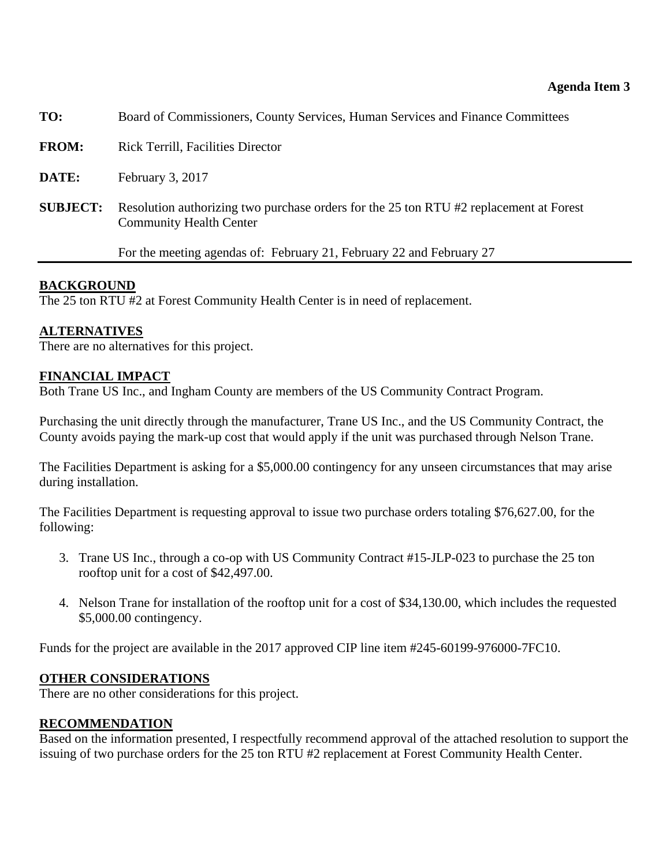<span id="page-5-0"></span>

| TO:             | Board of Commissioners, County Services, Human Services and Finance Committees                                           |
|-----------------|--------------------------------------------------------------------------------------------------------------------------|
| <b>FROM:</b>    | <b>Rick Terrill, Facilities Director</b>                                                                                 |
| DATE:           | February 3, 2017                                                                                                         |
| <b>SUBJECT:</b> | Resolution authorizing two purchase orders for the 25 ton RTU #2 replacement at Forest<br><b>Community Health Center</b> |
|                 | For the meeting agendas of: February 21, February 22 and February 27                                                     |
|                 |                                                                                                                          |

# **BACKGROUND**

The 25 ton RTU #2 at Forest Community Health Center is in need of replacement.

# **ALTERNATIVES**

There are no alternatives for this project.

# **FINANCIAL IMPACT**

Both Trane US Inc., and Ingham County are members of the US Community Contract Program.

Purchasing the unit directly through the manufacturer, Trane US Inc., and the US Community Contract, the County avoids paying the mark-up cost that would apply if the unit was purchased through Nelson Trane.

The Facilities Department is asking for a \$5,000.00 contingency for any unseen circumstances that may arise during installation.

The Facilities Department is requesting approval to issue two purchase orders totaling \$76,627.00, for the following:

- 3. Trane US Inc., through a co-op with US Community Contract #15-JLP-023 to purchase the 25 ton rooftop unit for a cost of \$42,497.00.
- 4. Nelson Trane for installation of the rooftop unit for a cost of \$34,130.00, which includes the requested \$5,000.00 contingency.

Funds for the project are available in the 2017 approved CIP line item #245-60199-976000-7FC10.

# **OTHER CONSIDERATIONS**

There are no other considerations for this project.

# **RECOMMENDATION**

Based on the information presented, I respectfully recommend approval of the attached resolution to support the issuing of two purchase orders for the 25 ton RTU #2 replacement at Forest Community Health Center.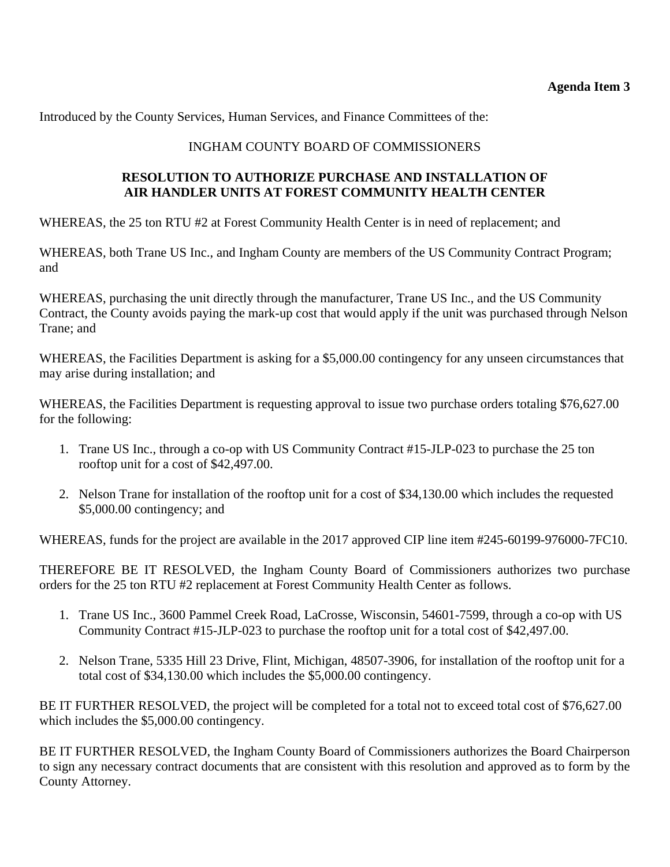Introduced by the County Services, Human Services, and Finance Committees of the:

# INGHAM COUNTY BOARD OF COMMISSIONERS

# **RESOLUTION TO AUTHORIZE PURCHASE AND INSTALLATION OF AIR HANDLER UNITS AT FOREST COMMUNITY HEALTH CENTER**

WHEREAS, the 25 ton RTU #2 at Forest Community Health Center is in need of replacement; and

WHEREAS, both Trane US Inc., and Ingham County are members of the US Community Contract Program; and

WHEREAS, purchasing the unit directly through the manufacturer, Trane US Inc., and the US Community Contract, the County avoids paying the mark-up cost that would apply if the unit was purchased through Nelson Trane; and

WHEREAS, the Facilities Department is asking for a \$5,000.00 contingency for any unseen circumstances that may arise during installation; and

WHEREAS, the Facilities Department is requesting approval to issue two purchase orders totaling \$76,627.00 for the following:

- 1. Trane US Inc., through a co-op with US Community Contract #15-JLP-023 to purchase the 25 ton rooftop unit for a cost of \$42,497.00.
- 2. Nelson Trane for installation of the rooftop unit for a cost of \$34,130.00 which includes the requested \$5,000.00 contingency; and

WHEREAS, funds for the project are available in the 2017 approved CIP line item #245-60199-976000-7FC10.

THEREFORE BE IT RESOLVED, the Ingham County Board of Commissioners authorizes two purchase orders for the 25 ton RTU #2 replacement at Forest Community Health Center as follows.

- 1. Trane US Inc., 3600 Pammel Creek Road, LaCrosse, Wisconsin, 54601-7599, through a co-op with US Community Contract #15-JLP-023 to purchase the rooftop unit for a total cost of \$42,497.00.
- 2. Nelson Trane, 5335 Hill 23 Drive, Flint, Michigan, 48507-3906, for installation of the rooftop unit for a total cost of \$34,130.00 which includes the \$5,000.00 contingency.

BE IT FURTHER RESOLVED, the project will be completed for a total not to exceed total cost of \$76,627.00 which includes the \$5,000.00 contingency.

BE IT FURTHER RESOLVED, the Ingham County Board of Commissioners authorizes the Board Chairperson to sign any necessary contract documents that are consistent with this resolution and approved as to form by the County Attorney.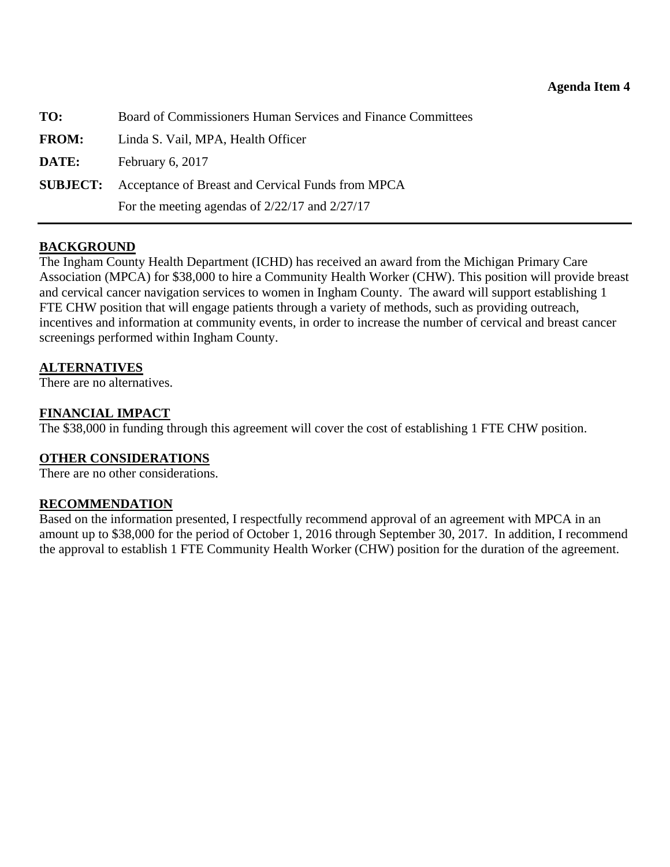<span id="page-7-0"></span>

| TO:          | Board of Commissioners Human Services and Finance Committees      |
|--------------|-------------------------------------------------------------------|
| <b>FROM:</b> | Linda S. Vail, MPA, Health Officer                                |
| DATE:        | February $6, 2017$                                                |
|              | <b>SUBJECT:</b> Acceptance of Breast and Cervical Funds from MPCA |
|              | For the meeting agendas of $2/22/17$ and $2/27/17$                |

#### **BACKGROUND**

The Ingham County Health Department (ICHD) has received an award from the Michigan Primary Care Association (MPCA) for \$38,000 to hire a Community Health Worker (CHW). This position will provide breast and cervical cancer navigation services to women in Ingham County. The award will support establishing 1 FTE CHW position that will engage patients through a variety of methods, such as providing outreach, incentives and information at community events, in order to increase the number of cervical and breast cancer screenings performed within Ingham County.

#### **ALTERNATIVES**

There are no alternatives.

#### **FINANCIAL IMPACT**

The \$38,000 in funding through this agreement will cover the cost of establishing 1 FTE CHW position.

#### **OTHER CONSIDERATIONS**

There are no other considerations.

#### **RECOMMENDATION**

Based on the information presented, I respectfully recommend approval of an agreement with MPCA in an amount up to \$38,000 for the period of October 1, 2016 through September 30, 2017. In addition, I recommend the approval to establish 1 FTE Community Health Worker (CHW) position for the duration of the agreement.